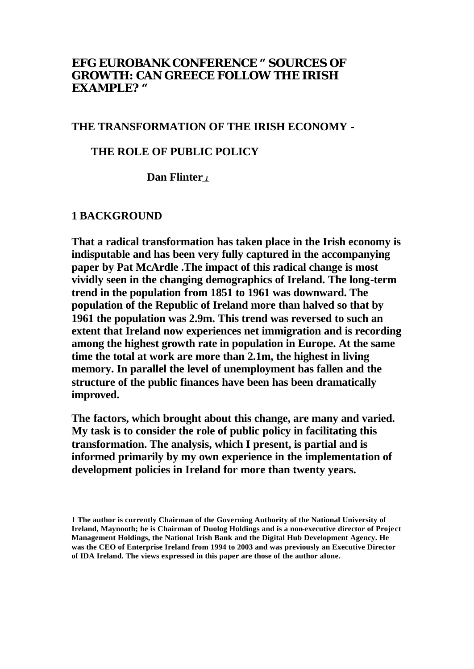## **EFG EUROBANK CONFERENCE "** *SOURCES OF GROWTH: CAN GREECE FOLLOW THE IRISH EXAMPLE? "*

### **THE TRANSFORMATION OF THE IRISH ECONOMY -**

#### **THE ROLE OF PUBLIC POLICY**

 **Dan Flinter** *<sup>1</sup>*

#### **1 BACKGROUND**

**That a radical transformation has taken place in the Irish economy is indisputable and has been very fully captured in the accompanying paper by Pat McArdle .The impact of this radical change is most vividly seen in the changing demographics of Ireland. The long-term trend in the population from 1851 to 1961 was downward. The population of the Republic of Ireland more than halved so that by 1961 the population was 2.9m. This trend was reversed to such an extent that Ireland now experiences net immigration and is recording among the highest growth rate in population in Europe. At the same time the total at work are more than 2.1m, the highest in living memory. In parallel the level of unemployment has fallen and the structure of the public finances have been has been dramatically improved.**

**The factors, which brought about this change, are many and varied. My task is to consider the role of public policy in facilitating this transformation. The analysis, which I present, is partial and is informed primarily by my own experience in the implementation of development policies in Ireland for more than twenty years.**

**<sup>1</sup> The author is currently Chairman of the Governing Authority of the National University of Ireland, Maynooth; he is Chairman of Duolog Holdings and is a non-executive director of Project Management Holdings, the National Irish Bank and the Digital Hub Development Agency. He was the CEO of Enterprise Ireland from 1994 to 2003 and was previously an Executive Director of IDA Ireland. The views expressed in this paper are those of the author alone.**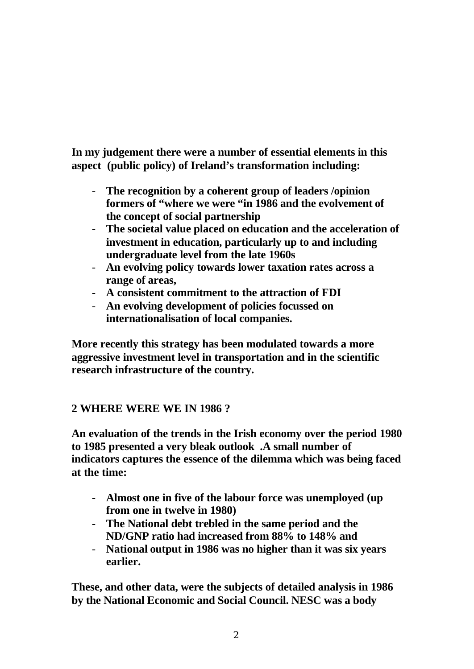**In my judgement there were a number of essential elements in this aspect (public policy) of Ireland's transformation including:**

- **The recognition by a coherent group of leaders /opinion formers of "where we were "in 1986 and the evolvement of the concept of social partnership**
- **The societal value placed on education and the acceleration of investment in education, particularly up to and including undergraduate level from the late 1960s**
- **An evolving policy towards lower taxation rates across a range of areas,**
- **A consistent commitment to the attraction of FDI**
- **An evolving development of policies focussed on internationalisation of local companies.**

**More recently this strategy has been modulated towards a more aggressive investment level in transportation and in the scientific research infrastructure of the country.**

# **2 WHERE WERE WE IN 1986 ?**

**An evaluation of the trends in the Irish economy over the period 1980 to 1985 presented a very bleak outlook .A small number of indicators captures the essence of the dilemma which was being faced at the time:**

- **Almost one in five of the labour force was unemployed (up from one in twelve in 1980)**
- **The National debt trebled in the same period and the ND/GNP ratio had increased from 88% to 148% and**
- **National output in 1986 was no higher than it was six years earlier.**

**These, and other data, were the subjects of detailed analysis in 1986 by the National Economic and Social Council. NESC was a body**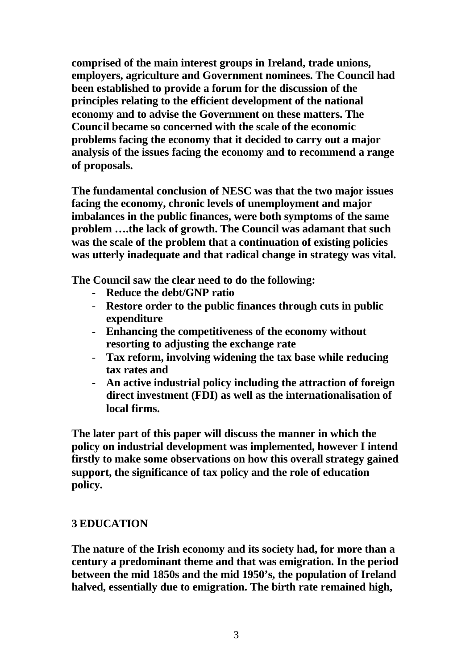**comprised of the main interest groups in Ireland, trade unions, employers, agriculture and Government nominees. The Council had been established to provide a forum for the discussion of the principles relating to the efficient development of the national economy and to advise the Government on these matters. The Council became so concerned with the scale of the economic problems facing the economy that it decided to carry out a major analysis of the issues facing the economy and to recommend a range of proposals.**

**The fundamental conclusion of NESC was that the two major issues facing the economy, chronic levels of unemployment and major imbalances in the public finances, were both symptoms of the same problem ….the lack of growth. The Council was adamant that such was the scale of the problem that a continuation of existing policies was utterly inadequate and that radical change in strategy was vital.** 

**The Council saw the clear need to do the following:**

- **Reduce the debt/GNP ratio**
- **Restore order to the public finances through cuts in public expenditure**
- **Enhancing the competitiveness of the economy without resorting to adjusting the exchange rate**
- **Tax reform, involving widening the tax base while reducing tax rates and**
- **An active industrial policy including the attraction of foreign direct investment (FDI) as well as the internationalisation of local firms.**

**The later part of this paper will discuss the manner in which the policy on industrial development was implemented, however I intend firstly to make some observations on how this overall strategy gained support, the significance of tax policy and the role of education policy.**

# **3 EDUCATION**

**The nature of the Irish economy and its society had, for more than a century a predominant theme and that was emigration. In the period between the mid 1850s and the mid 1950's, the population of Ireland halved, essentially due to emigration. The birth rate remained high,**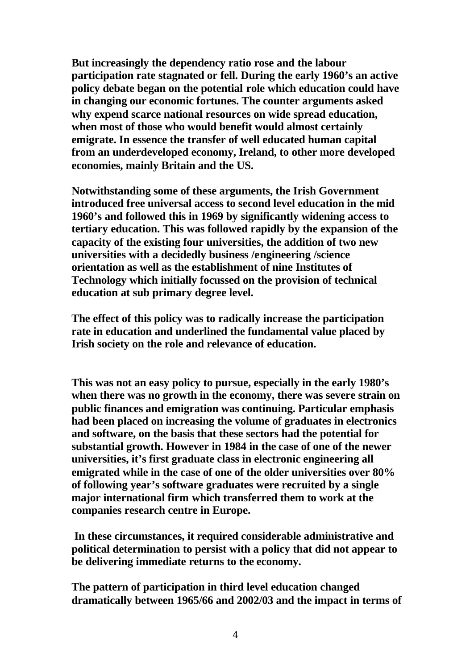**But increasingly the dependency ratio rose and the labour participation rate stagnated or fell. During the early 1960's an active policy debate began on the potential role which education could have in changing our economic fortunes. The counter arguments asked why expend scarce national resources on wide spread education, when most of those who would benefit would almost certainly emigrate. In essence the transfer of well educated human capital from an underdeveloped economy, Ireland, to other more developed economies, mainly Britain and the US.** 

**Notwithstanding some of these arguments, the Irish Government introduced free universal access to second level education in the mid 1960's and followed this in 1969 by significantly widening access to tertiary education. This was followed rapidly by the expansion of the capacity of the existing four universities, the addition of two new universities with a decidedly business /engineering /science orientation as well as the establishment of nine Institutes of Technology which initially focussed on the provision of technical education at sub primary degree level.**

**The effect of this policy was to radically increase the participation rate in education and underlined the fundamental value placed by Irish society on the role and relevance of education.** 

**This was not an easy policy to pursue, especially in the early 1980's when there was no growth in the economy, there was severe strain on public finances and emigration was continuing. Particular emphasis had been placed on increasing the volume of graduates in electronics and software, on the basis that these sectors had the potential for substantial growth. However in 1984 in the case of one of the newer universities, it's first graduate class in electronic engineering all emigrated while in the case of one of the older universities over 80% of following year's software graduates were recruited by a single major international firm which transferred them to work at the companies research centre in Europe.**

 **In these circumstances, it required considerable administrative and political determination to persist with a policy that did not appear to be delivering immediate returns to the economy.**

**The pattern of participation in third level education changed dramatically between 1965/66 and 2002/03 and the impact in terms of**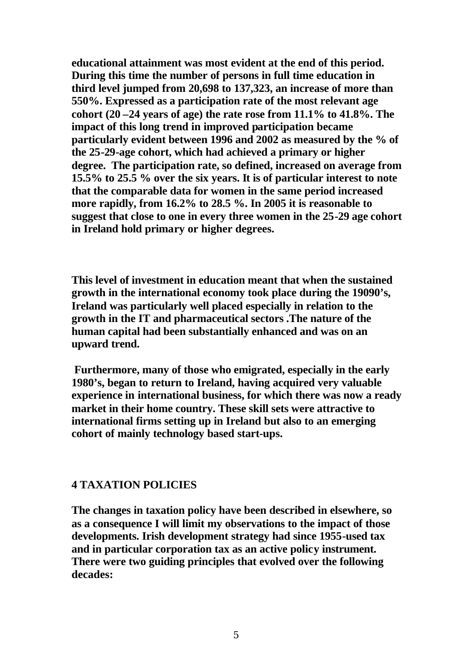**educational attainment was most evident at the end of this period. During this time the number of persons in full time education in third level jumped from 20,698 to 137,323, an increase of more than 550%. Expressed as a participation rate of the most relevant age cohort (20 –24 years of age) the rate rose from 11.1% to 41.8%. The impact of this long trend in improved participation became particularly evident between 1996 and 2002 as measured by the % of the 25-29-age cohort, which had achieved a primary or higher degree. The participation rate, so defined, increased on average from 15.5% to 25.5 % over the six years. It is of particular interest to note that the comparable data for women in the same period increased more rapidly, from 16.2% to 28.5 %. In 2005 it is reasonable to suggest that close to one in every three women in the 25-29 age cohort in Ireland hold primary or higher degrees.**

**This level of investment in education meant that when the sustained growth in the international economy took place during the 19090's, Ireland was particularly well placed especially in relation to the growth in the IT and pharmaceutical sectors .The nature of the human capital had been substantially enhanced and was on an upward trend.**

 **Furthermore, many of those who emigrated, especially in the early 1980's, began to return to Ireland, having acquired very valuable experience in international business, for which there was now a ready market in their home country. These skill sets were attractive to international firms setting up in Ireland but also to an emerging cohort of mainly technology based start-ups.** 

# **4 TAXATION POLICIES**

**The changes in taxation policy have been described in elsewhere, so as a consequence I will limit my observations to the impact of those developments. Irish development strategy had since 1955-used tax and in particular corporation tax as an active policy instrument. There were two guiding principles that evolved over the following decades:**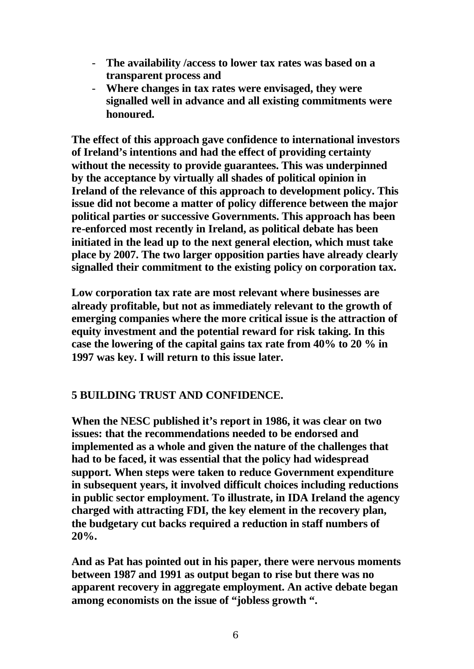- **The availability /access to lower tax rates was based on a transparent process and**
- **Where changes in tax rates were envisaged, they were signalled well in advance and all existing commitments were honoured.**

**The effect of this approach gave confidence to international investors of Ireland's intentions and had the effect of providing certainty without the necessity to provide guarantees. This was underpinned by the acceptance by virtually all shades of political opinion in Ireland of the relevance of this approach to development policy. This issue did not become a matter of policy difference between the major political parties or successive Governments. This approach has been re-enforced most recently in Ireland, as political debate has been initiated in the lead up to the next general election, which must take place by 2007. The two larger opposition parties have already clearly signalled their commitment to the existing policy on corporation tax.** 

**Low corporation tax rate are most relevant where businesses are already profitable, but not as immediately relevant to the growth of emerging companies where the more critical issue is the attraction of equity investment and the potential reward for risk taking. In this case the lowering of the capital gains tax rate from 40% to 20 % in 1997 was key. I will return to this issue later.**

# **5 BUILDING TRUST AND CONFIDENCE.**

**When the NESC published it's report in 1986, it was clear on two issues: that the recommendations needed to be endorsed and implemented as a whole and given the nature of the challenges that had to be faced, it was essential that the policy had widespread support. When steps were taken to reduce Government expenditure in subsequent years, it involved difficult choices including reductions in public sector employment. To illustrate, in IDA Ireland the agency charged with attracting FDI, the key element in the recovery plan, the budgetary cut backs required a reduction in staff numbers of 20%.** 

**And as Pat has pointed out in his paper, there were nervous moments between 1987 and 1991 as output began to rise but there was no apparent recovery in aggregate employment. An active debate began among economists on the issue of "jobless growth ".**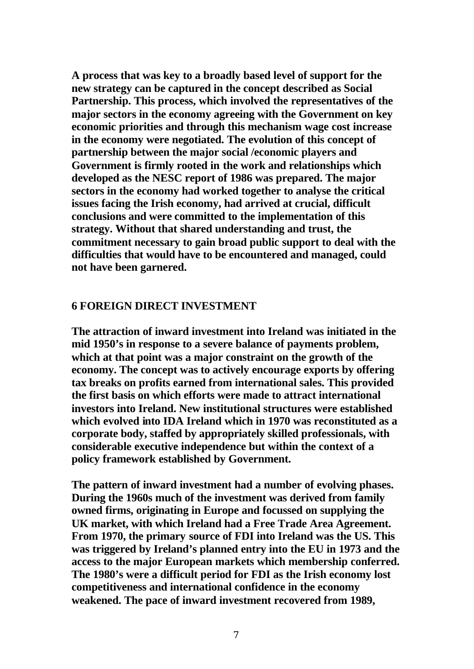**A process that was key to a broadly based level of support for the new strategy can be captured in the concept described as Social Partnership. This process, which involved the representatives of the major sectors in the economy agreeing with the Government on key economic priorities and through this mechanism wage cost increase in the economy were negotiated. The evolution of this concept of partnership between the major social /economic players and Government is firmly rooted in the work and relationships which developed as the NESC report of 1986 was prepared. The major sectors in the economy had worked together to analyse the critical issues facing the Irish economy, had arrived at crucial, difficult conclusions and were committed to the implementation of this strategy. Without that shared understanding and trust, the commitment necessary to gain broad public support to deal with the difficulties that would have to be encountered and managed, could not have been garnered.** 

#### **6 FOREIGN DIRECT INVESTMENT**

**The attraction of inward investment into Ireland was initiated in the mid 1950's in response to a severe balance of payments problem, which at that point was a major constraint on the growth of the economy. The concept was to actively encourage exports by offering tax breaks on profits earned from international sales. This provided the first basis on which efforts were made to attract international investors into Ireland. New institutional structures were established which evolved into IDA Ireland which in 1970 was reconstituted as a corporate body, staffed by appropriately skilled professionals, with considerable executive independence but within the context of a policy framework established by Government.**

**The pattern of inward investment had a number of evolving phases. During the 1960s much of the investment was derived from family owned firms, originating in Europe and focussed on supplying the UK market, with which Ireland had a Free Trade Area Agreement. From 1970, the primary source of FDI into Ireland was the US. This was triggered by Ireland's planned entry into the EU in 1973 and the access to the major European markets which membership conferred. The 1980's were a difficult period for FDI as the Irish economy lost competitiveness and international confidence in the economy weakened. The pace of inward investment recovered from 1989,**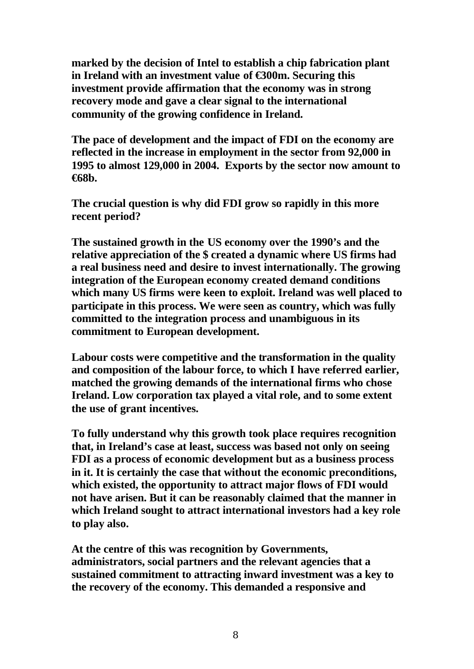**marked by the decision of Intel to establish a chip fabrication plant in Ireland with an investment value of €300m. Securing this investment provide affirmation that the economy was in strong recovery mode and gave a clear signal to the international community of the growing confidence in Ireland.**

**The pace of development and the impact of FDI on the economy are reflected in the increase in employment in the sector from 92,000 in 1995 to almost 129,000 in 2004. Exports by the sector now amount to €68b.**

**The crucial question is why did FDI grow so rapidly in this more recent period?**

**The sustained growth in the US economy over the 1990's and the relative appreciation of the \$ created a dynamic where US firms had a real business need and desire to invest internationally. The growing integration of the European economy created demand conditions which many US firms were keen to exploit. Ireland was well placed to participate in this process. We were seen as country, which was fully committed to the integration process and unambiguous in its commitment to European development.**

**Labour costs were competitive and the transformation in the quality and composition of the labour force, to which I have referred earlier, matched the growing demands of the international firms who chose Ireland. Low corporation tax played a vital role, and to some extent the use of grant incentives.**

**To fully understand why this growth took place requires recognition that, in Ireland's case at least, success was based not only on seeing FDI as a process of economic development but as a business process in it. It is certainly the case that without the economic preconditions, which existed, the opportunity to attract major flows of FDI would not have arisen. But it can be reasonably claimed that the manner in which Ireland sought to attract international investors had a key role to play also.**

**At the centre of this was recognition by Governments, administrators, social partners and the relevant agencies that a sustained commitment to attracting inward investment was a key to the recovery of the economy. This demanded a responsive and**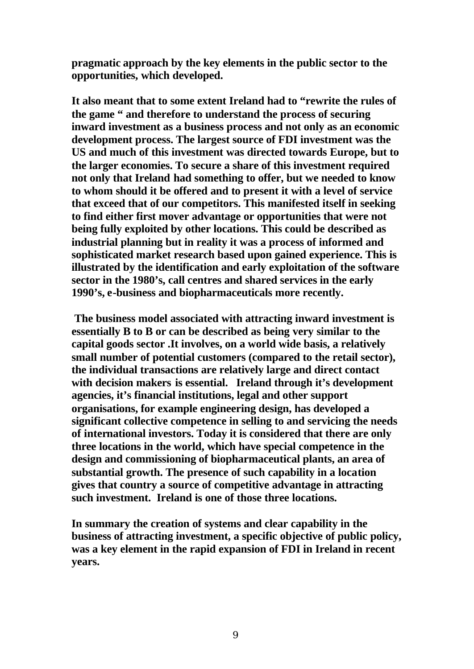**pragmatic approach by the key elements in the public sector to the opportunities, which developed.** 

**It also meant that to some extent Ireland had to "rewrite the rules of the game " and therefore to understand the process of securing inward investment as a business process and not only as an economic development process. The largest source of FDI investment was the US and much of this investment was directed towards Europe, but to the larger economies. To secure a share of this investment required not only that Ireland had something to offer, but we needed to know to whom should it be offered and to present it with a level of service that exceed that of our competitors. This manifested itself in seeking to find either first mover advantage or opportunities that were not being fully exploited by other locations. This could be described as industrial planning but in reality it was a process of informed and sophisticated market research based upon gained experience. This is illustrated by the identification and early exploitation of the software sector in the 1980's, call centres and shared services in the early 1990's, e-business and biopharmaceuticals more recently.**

 **The business model associated with attracting inward investment is essentially B to B or can be described as being very similar to the capital goods sector .It involves, on a world wide basis, a relatively small number of potential customers (compared to the retail sector), the individual transactions are relatively large and direct contact with decision makers is essential. Ireland through it's development agencies, it's financial institutions, legal and other support organisations, for example engineering design, has developed a significant collective competence in selling to and servicing the needs of international investors. Today it is considered that there are only three locations in the world, which have special competence in the design and commissioning of biopharmaceutical plants, an area of substantial growth. The presence of such capability in a location gives that country a source of competitive advantage in attracting such investment. Ireland is one of those three locations.**

**In summary the creation of systems and clear capability in the business of attracting investment, a specific objective of public policy, was a key element in the rapid expansion of FDI in Ireland in recent years.**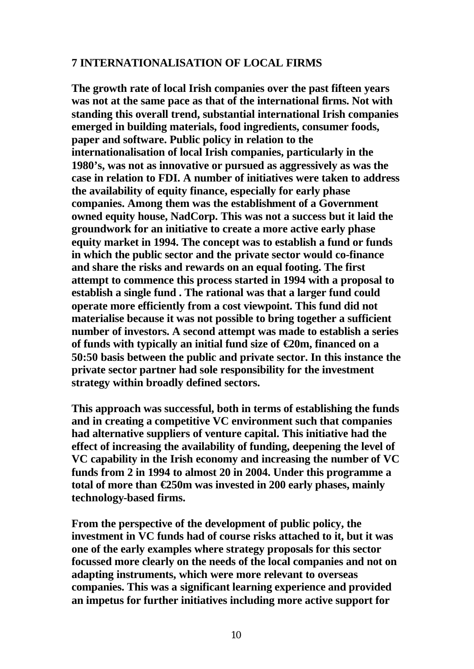## **7 INTERNATIONALISATION OF LOCAL FIRMS**

**The growth rate of local Irish companies over the past fifteen years was not at the same pace as that of the international firms. Not with standing this overall trend, substantial international Irish companies emerged in building materials, food ingredients, consumer foods, paper and software. Public policy in relation to the internationalisation of local Irish companies, particularly in the 1980's, was not as innovative or pursued as aggressively as was the case in relation to FDI. A number of initiatives were taken to address the availability of equity finance, especially for early phase companies. Among them was the establishment of a Government owned equity house, NadCorp. This was not a success but it laid the groundwork for an initiative to create a more active early phase equity market in 1994. The concept was to establish a fund or funds in which the public sector and the private sector would co-finance and share the risks and rewards on an equal footing. The first attempt to commence this process started in 1994 with a proposal to establish a single fund . The rational was that a larger fund could operate more efficiently from a cost viewpoint. This fund did not materialise because it was not possible to bring together a sufficient number of investors. A second attempt was made to establish a series of funds with typically an initial fund size of €20m, financed on a 50:50 basis between the public and private sector. In this instance the private sector partner had sole responsibility for the investment strategy within broadly defined sectors.**

**This approach was successful, both in terms of establishing the funds and in creating a competitive VC environment such that companies had alternative suppliers of venture capital. This initiative had the effect of increasing the availability of funding, deepening the level of VC capability in the Irish economy and increasing the number of VC funds from 2 in 1994 to almost 20 in 2004. Under this programme a total of more than €250m was invested in 200 early phases, mainly technology-based firms.**

**From the perspective of the development of public policy, the investment in VC funds had of course risks attached to it, but it was one of the early examples where strategy proposals for this sector focussed more clearly on the needs of the local companies and not on adapting instruments, which were more relevant to overseas companies. This was a significant learning experience and provided an impetus for further initiatives including more active support for**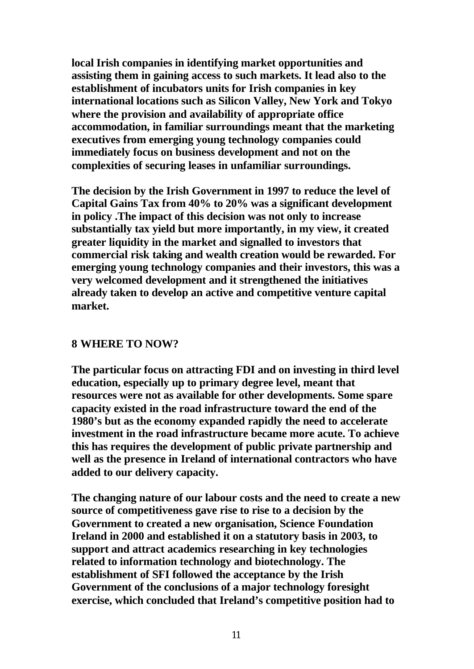**local Irish companies in identifying market opportunities and assisting them in gaining access to such markets. It lead also to the establishment of incubators units for Irish companies in key international locations such as Silicon Valley, New York and Tokyo where the provision and availability of appropriate office accommodation, in familiar surroundings meant that the marketing executives from emerging young technology companies could immediately focus on business development and not on the complexities of securing leases in unfamiliar surroundings.**

**The decision by the Irish Government in 1997 to reduce the level of Capital Gains Tax from 40% to 20% was a significant development in policy .The impact of this decision was not only to increase substantially tax yield but more importantly, in my view, it created greater liquidity in the market and signalled to investors that commercial risk taking and wealth creation would be rewarded. For emerging young technology companies and their investors, this was a very welcomed development and it strengthened the initiatives already taken to develop an active and competitive venture capital market.**

### **8 WHERE TO NOW?**

**The particular focus on attracting FDI and on investing in third level education, especially up to primary degree level, meant that resources were not as available for other developments. Some spare capacity existed in the road infrastructure toward the end of the 1980's but as the economy expanded rapidly the need to accelerate investment in the road infrastructure became more acute. To achieve this has requires the development of public private partnership and well as the presence in Ireland of international contractors who have added to our delivery capacity.**

**The changing nature of our labour costs and the need to create a new source of competitiveness gave rise to rise to a decision by the Government to created a new organisation, Science Foundation Ireland in 2000 and established it on a statutory basis in 2003, to support and attract academics researching in key technologies related to information technology and biotechnology. The establishment of SFI followed the acceptance by the Irish Government of the conclusions of a major technology foresight exercise, which concluded that Ireland's competitive position had to**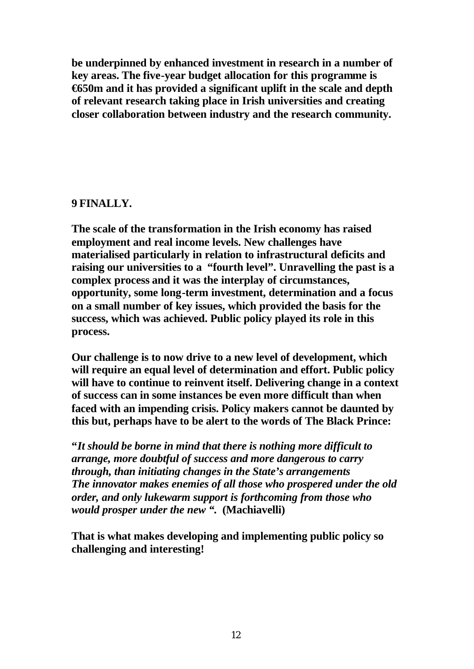**be underpinned by enhanced investment in research in a number of key areas. The five-year budget allocation for this programme is €650m and it has provided a significant uplift in the scale and depth of relevant research taking place in Irish universities and creating closer collaboration between industry and the research community.** 

# **9 FINALLY.**

**The scale of the transformation in the Irish economy has raised employment and real income levels. New challenges have materialised particularly in relation to infrastructural deficits and raising our universities to a "fourth level". Unravelling the past is a complex process and it was the interplay of circumstances, opportunity, some long-term investment, determination and a focus on a small number of key issues, which provided the basis for the success, which was achieved. Public policy played its role in this process.** 

**Our challenge is to now drive to a new level of development, which will require an equal level of determination and effort. Public policy will have to continue to reinvent itself. Delivering change in a context of success can in some instances be even more difficult than when faced with an impending crisis. Policy makers cannot be daunted by this but, perhaps have to be alert to the words of The Black Prince:**

**"***It should be borne in mind that there is nothing more difficult to arrange, more doubtful of success and more dangerous to carry through, than initiating changes in the State's arrangements The innovator makes enemies of all those who prospered under the old order, and only lukewarm support is forthcoming from those who would prosper under the new ".* **(Machiavelli)** 

**That is what makes developing and implementing public policy so challenging and interesting!**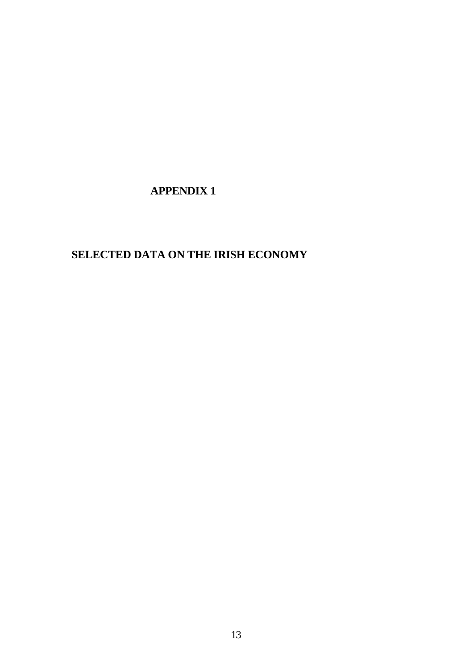# **APPENDIX 1**

# **SELECTED DATA ON THE IRISH ECONOMY**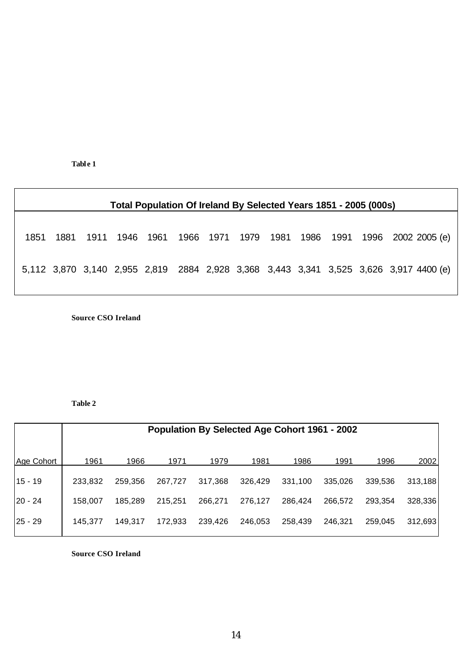**Tabl e 1**

| Total Population Of Ireland By Selected Years 1851 - 2005 (000s) |      |      |      |                                                                                       |  |  |  |  |  |  |                                                  |  |
|------------------------------------------------------------------|------|------|------|---------------------------------------------------------------------------------------|--|--|--|--|--|--|--------------------------------------------------|--|
|                                                                  |      |      |      |                                                                                       |  |  |  |  |  |  |                                                  |  |
| 1851                                                             | 1881 | 1911 | 1946 | 1961                                                                                  |  |  |  |  |  |  | 1966 1971 1979 1981 1986 1991 1996 2002 2005 (e) |  |
|                                                                  |      |      |      | 5,112 3,870 3,140 2,955 2,819 2884 2,928 3,368 3,443 3,341 3,525 3,626 3,917 4400 (e) |  |  |  |  |  |  |                                                  |  |
|                                                                  |      |      |      |                                                                                       |  |  |  |  |  |  |                                                  |  |

**Source CSO Ireland**

#### **Table 2**

|            | <b>Population By Selected Age Cohort 1961 - 2002</b> |         |         |         |         |         |         |         |         |  |
|------------|------------------------------------------------------|---------|---------|---------|---------|---------|---------|---------|---------|--|
| Age Cohort | 1961                                                 | 1966    | 1971    | 1979    | 1981    | 1986    | 1991    | 1996    | 2002    |  |
| $15 - 19$  | 233,832                                              | 259,356 | 267,727 | 317,368 | 326,429 | 331,100 | 335,026 | 339,536 | 313,188 |  |
| $20 - 24$  | 158,007                                              | 185.289 | 215,251 | 266,271 | 276,127 | 286,424 | 266,572 | 293,354 | 328,336 |  |
| $25 - 29$  | 145,377                                              | 149.317 | 172.933 | 239,426 | 246.053 | 258,439 | 246,321 | 259,045 | 312,693 |  |

**Source CSO Ireland**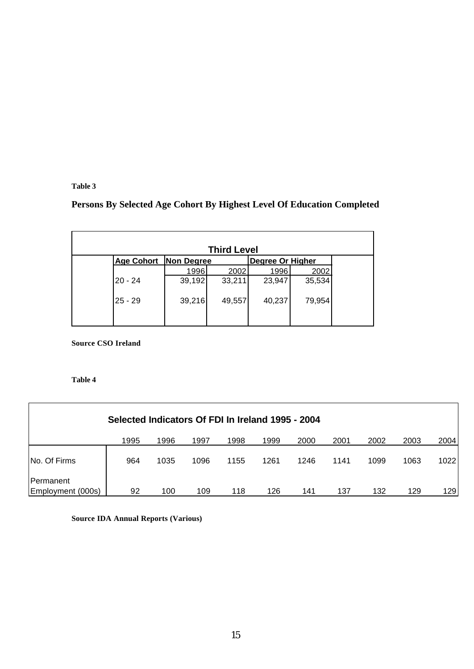**Table 3**

# **Persons By Selected Age Cohort By Highest Level Of Education Completed**

|                   |                   | <b>Third Level</b> |                         |        |
|-------------------|-------------------|--------------------|-------------------------|--------|
| <b>Age Cohort</b> | <b>Non Degree</b> |                    | <b>Degree Or Higher</b> |        |
|                   | 1996              | 2002               | 1996                    | 2002   |
| l20 - 24          | 39,192            | 33,211             | 23,947                  | 35,534 |
| $25 - 29$         | 39,216            | 49,557             | 40,237                  | 79,954 |
|                   |                   |                    |                         |        |

**Source CSO Ireland**

#### **Table 4**

| Selected Indicators Of FDI In Ireland 1995 - 2004 |      |      |      |      |      |      |      |      |      |      |
|---------------------------------------------------|------|------|------|------|------|------|------|------|------|------|
|                                                   | 1995 | 1996 | 1997 | 1998 | 1999 | 2000 | 2001 | 2002 | 2003 | 2004 |
| No. Of Firms                                      | 964  | 1035 | 1096 | 1155 | 1261 | 1246 | 1141 | 1099 | 1063 | 1022 |
| Permanent                                         |      |      |      |      |      |      |      |      |      |      |
| Employment (000s)                                 | 92   | 100  | 109  | 118  | 126  | 141  | 137  | 132  | 129  | 129  |

**Source IDA Annual Reports (Various)**